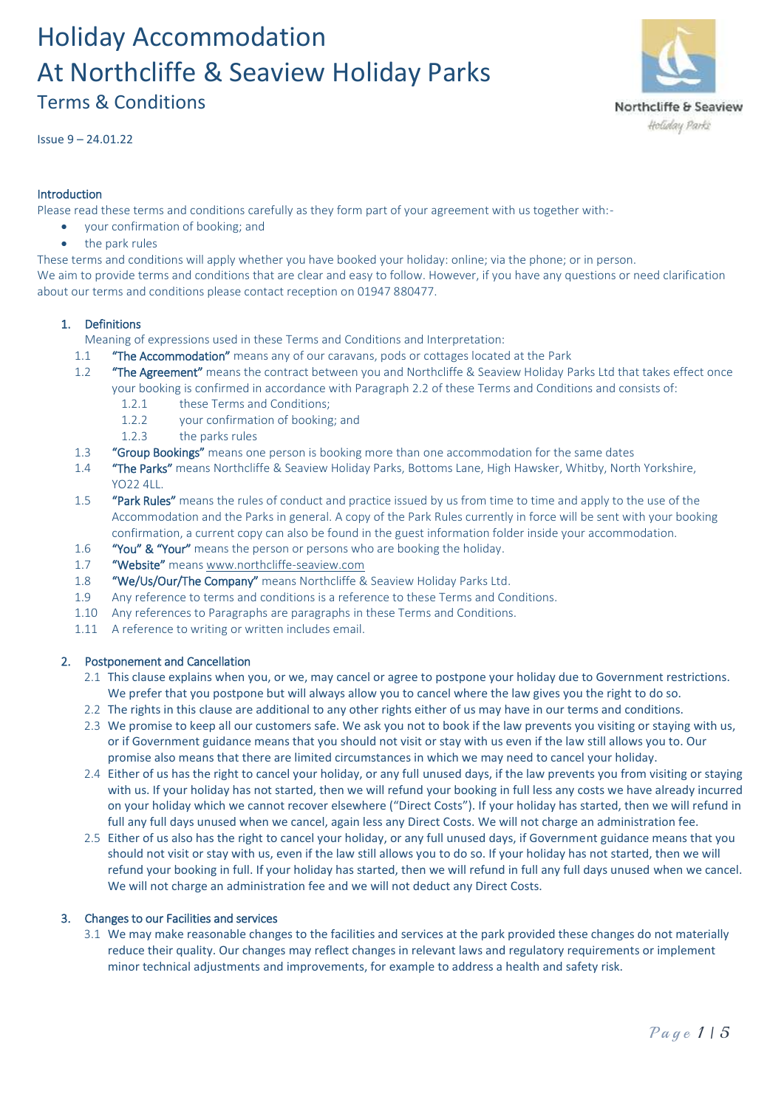

Issue 9 – 24.01.22

## Introduction

Please read these terms and conditions carefully as they form part of your agreement with us together with:-

- your confirmation of booking; and
- the park rules

These terms and conditions will apply whether you have booked your holiday: online; via the phone; or in person.

We aim to provide terms and conditions that are clear and easy to follow. However, if you have any questions or need clarification about our terms and conditions please contact reception on 01947 880477.

## 1. Definitions

- Meaning of expressions used in these Terms and Conditions and Interpretation:
- 1.1 **"The Accommodation"** means any of our caravans, pods or cottages located at the Park
- 1.2 "The Agreement" means the contract between you and Northcliffe & Seaview Holiday Parks Ltd that takes effect once your booking is confirmed in accordance with Paragraph 2.2 of these Terms and Conditions and consists of:
	- 1.2.1 these Terms and Conditions;
	- 1.2.2 your confirmation of booking; and
	- 1.2.3 the parks rules
- 1.3 "Group Bookings" means one person is booking more than one accommodation for the same dates
- 1.4 "The Parks" means Northcliffe & Seaview Holiday Parks, Bottoms Lane, High Hawsker, Whitby, North Yorkshire, YO<sub>22</sub> 4LL.
- 1.5 "Park Rules" means the rules of conduct and practice issued by us from time to time and apply to the use of the Accommodation and the Parks in general. A copy of the Park Rules currently in force will be sent with your booking confirmation, a current copy can also be found in the guest information folder inside your accommodation.
- 1.6 "You" & "Your" means the person or persons who are booking the holiday.
- 1.7 **Website"** means [www.northcliffe-seaview.com](http://www.northcliffe-seaview.com/)
- 1.8 "We/Us/Our/The Company" means Northcliffe & Seaview Holiday Parks Ltd.
- 1.9 Any reference to terms and conditions is a reference to these Terms and Conditions.
- 1.10 Any references to Paragraphs are paragraphs in these Terms and Conditions.
- 1.11 A reference to writing or written includes email.

### 2. Postponement and Cancellation

- 2.1 This clause explains when you, or we, may cancel or agree to postpone your holiday due to Government restrictions. We prefer that you postpone but will always allow you to cancel where the law gives you the right to do so.
- 2.2 The rights in this clause are additional to any other rights either of us may have in our terms and conditions.
- 2.3 We promise to keep all our customers safe. We ask you not to book if the law prevents you visiting or staying with us, or if Government guidance means that you should not visit or stay with us even if the law still allows you to. Our promise also means that there are limited circumstances in which we may need to cancel your holiday.
- 2.4 Either of us has the right to cancel your holiday, or any full unused days, if the law prevents you from visiting or staying with us. If your holiday has not started, then we will refund your booking in full less any costs we have already incurred on your holiday which we cannot recover elsewhere ("Direct Costs"). If your holiday has started, then we will refund in full any full days unused when we cancel, again less any Direct Costs. We will not charge an administration fee.
- 2.5 Either of us also has the right to cancel your holiday, or any full unused days, if Government guidance means that you should not visit or stay with us, even if the law still allows you to do so. If your holiday has not started, then we will refund your booking in full. If your holiday has started, then we will refund in full any full days unused when we cancel. We will not charge an administration fee and we will not deduct any Direct Costs.

### 3. Changes to our Facilities and services

3.1 We may make reasonable changes to the facilities and services at the park provided these changes do not materially reduce their quality. Our changes may reflect changes in relevant laws and regulatory requirements or implement minor technical adjustments and improvements, for example to address a health and safety risk.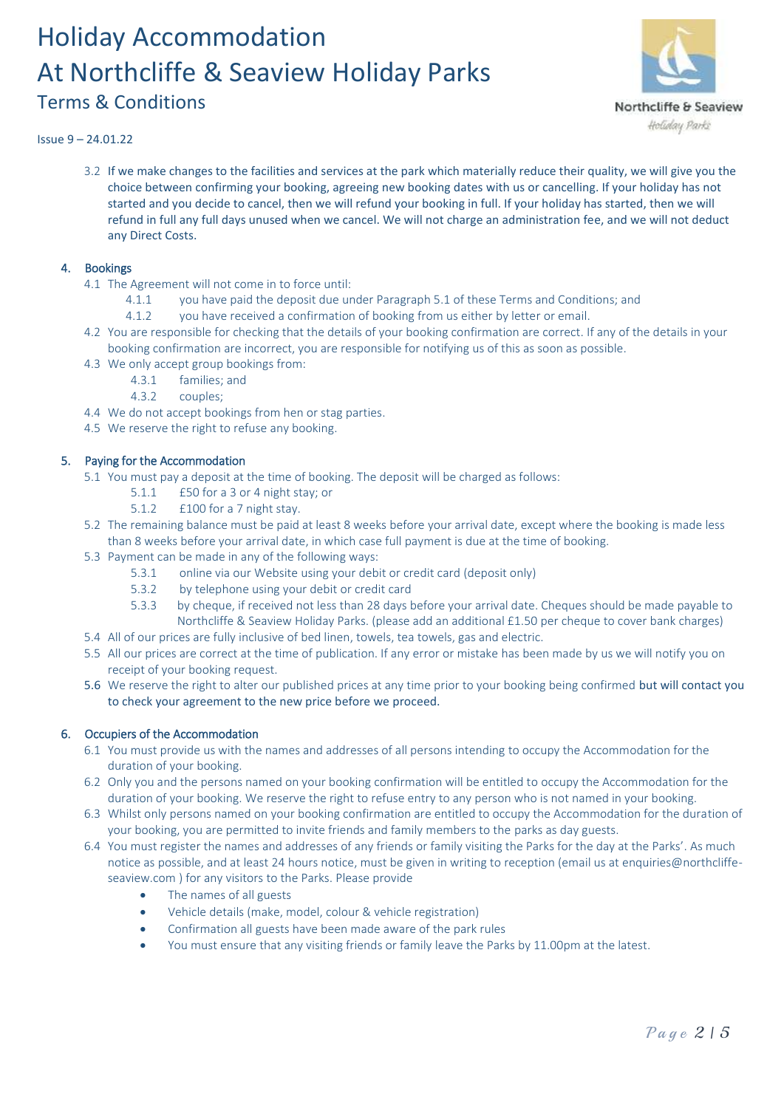

Issue 9 – 24.01.22

3.2 If we make changes to the facilities and services at the park which materially reduce their quality, we will give you the choice between confirming your booking, agreeing new booking dates with us or cancelling. If your holiday has not started and you decide to cancel, then we will refund your booking in full. If your holiday has started, then we will refund in full any full days unused when we cancel. We will not charge an administration fee, and we will not deduct any Direct Costs.

## 4. Bookings

- 4.1 The Agreement will not come in to force until:
	- 4.1.1 you have paid the deposit due under Paragraph 5.1 of these Terms and Conditions; and
	- 4.1.2 you have received a confirmation of booking from us either by letter or email.
- 4.2 You are responsible for checking that the details of your booking confirmation are correct. If any of the details in your booking confirmation are incorrect, you are responsible for notifying us of this as soon as possible.
- 4.3 We only accept group bookings from:
	- 4.3.1 families; and
		- 4.3.2 couples;
- 4.4 We do not accept bookings from hen or stag parties.
- 4.5 We reserve the right to refuse any booking.

### 5. Paying for the Accommodation

- 5.1 You must pay a deposit at the time of booking. The deposit will be charged as follows:
	- 5.1.1 £50 for a 3 or 4 night stay; or
	- 5.1.2 £100 for a 7 night stay.
- 5.2 The remaining balance must be paid at least 8 weeks before your arrival date, except where the booking is made less than 8 weeks before your arrival date, in which case full payment is due at the time of booking.
- 5.3 Payment can be made in any of the following ways:
	- 5.3.1 online via our Website using your debit or credit card (deposit only)
	- 5.3.2 by telephone using your debit or credit card
	- 5.3.3 by cheque, if received not less than 28 days before your arrival date. Cheques should be made payable to Northcliffe & Seaview Holiday Parks. (please add an additional £1.50 per cheque to cover bank charges)
- 5.4 All of our prices are fully inclusive of bed linen, towels, tea towels, gas and electric.
- 5.5 All our prices are correct at the time of publication. If any error or mistake has been made by us we will notify you on receipt of your booking request.
- 5.6 We reserve the right to alter our published prices at any time prior to your booking being confirmed but will contact you to check your agreement to the new price before we proceed.

### 6. Occupiers of the Accommodation

- 6.1 You must provide us with the names and addresses of all persons intending to occupy the Accommodation for the duration of your booking.
- 6.2 Only you and the persons named on your booking confirmation will be entitled to occupy the Accommodation for the duration of your booking. We reserve the right to refuse entry to any person who is not named in your booking.
- 6.3 Whilst only persons named on your booking confirmation are entitled to occupy the Accommodation for the duration of your booking, you are permitted to invite friends and family members to the parks as day guests.
- 6.4 You must register the names and addresses of any friends or family visiting the Parks for the day at the Parks'. As much notice as possible, and at least 24 hours notice, must be given in writing to reception (email us at enquiries@northcliffeseaview.com ) for any visitors to the Parks. Please provide
	- The names of all guests
	- Vehicle details (make, model, colour & vehicle registration)
	- Confirmation all guests have been made aware of the park rules
	- You must ensure that any visiting friends or family leave the Parks by 11.00pm at the latest.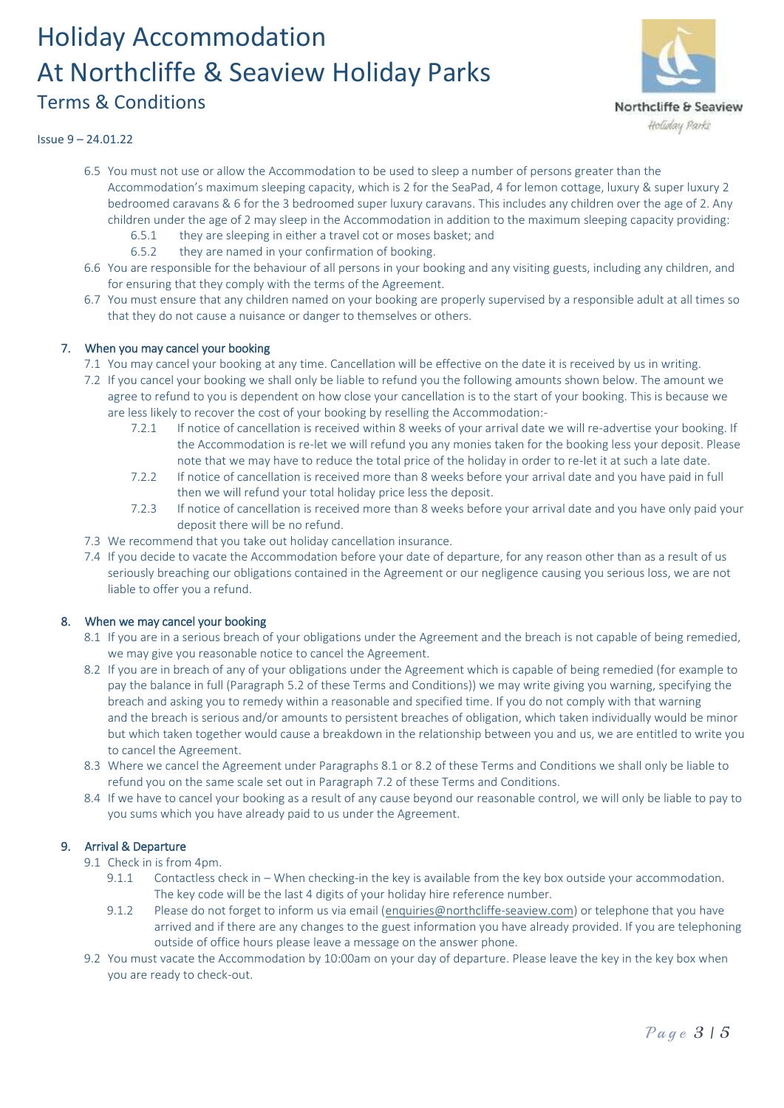

## Issue 9 – 24.01.22

- 6.5 You must not use or allow the Accommodation to be used to sleep a number of persons greater than the Accommodation's maximum sleeping capacity, which is 2 for the SeaPad, 4 for lemon cottage, luxury & super luxury 2 bedroomed caravans & 6 for the 3 bedroomed super luxury caravans. This includes any children over the age of 2. Any children under the age of 2 may sleep in the Accommodation in addition to the maximum sleeping capacity providing: 6.5.1 they are sleeping in either a travel cot or moses basket; and
	- 6.5.2 they are named in your confirmation of booking.
- 6.6 You are responsible for the behaviour of all persons in your booking and any visiting guests, including any children, and for ensuring that they comply with the terms of the Agreement.
- 6.7 You must ensure that any children named on your booking are properly supervised by a responsible adult at all times so that they do not cause a nuisance or danger to themselves or others.

### 7. When you may cancel your booking

- 7.1 You may cancel your booking at any time. Cancellation will be effective on the date it is received by us in writing.
- 7.2 If you cancel your booking we shall only be liable to refund you the following amounts shown below. The amount we agree to refund to you is dependent on how close your cancellation is to the start of your booking. This is because we are less likely to recover the cost of your booking by reselling the Accommodation:-
	- 7.2.1 If notice of cancellation is received within 8 weeks of your arrival date we will re-advertise your booking. If the Accommodation is re-let we will refund you any monies taken for the booking less your deposit. Please note that we may have to reduce the total price of the holiday in order to re-let it at such a late date.
	- 7.2.2 If notice of cancellation is received more than 8 weeks before your arrival date and you have paid in full then we will refund your total holiday price less the deposit.
	- 7.2.3 If notice of cancellation is received more than 8 weeks before your arrival date and you have only paid your deposit there will be no refund.
- 7.3 We recommend that you take out holiday cancellation insurance.
- 7.4 If you decide to vacate the Accommodation before your date of departure, for any reason other than as a result of us seriously breaching our obligations contained in the Agreement or our negligence causing you serious loss, we are not liable to offer you a refund.

## 8. When we may cancel your booking

- 8.1 If you are in a serious breach of your obligations under the Agreement and the breach is not capable of being remedied, we may give you reasonable notice to cancel the Agreement.
- 8.2 If you are in breach of any of your obligations under the Agreement which is capable of being remedied (for example to pay the balance in full (Paragraph 5.2 of these Terms and Conditions)) we may write giving you warning, specifying the breach and asking you to remedy within a reasonable and specified time. If you do not comply with that warning and the breach is serious and/or amounts to persistent breaches of obligation, which taken individually would be minor but which taken together would cause a breakdown in the relationship between you and us, we are entitled to write you to cancel the Agreement.
- 8.3 Where we cancel the Agreement under Paragraphs 8.1 or 8.2 of these Terms and Conditions we shall only be liable to refund you on the same scale set out in Paragraph 7.2 of these Terms and Conditions.
- 8.4 If we have to cancel your booking as a result of any cause beyond our reasonable control, we will only be liable to pay to you sums which you have already paid to us under the Agreement.

## 9. Arrival & Departure

- 9.1 Check in is from 4pm.
	- 9.1.1 Contactless check in When checking-in the key is available from the key box outside your accommodation. The key code will be the last 4 digits of your holiday hire reference number.
	- 9.1.2 Please do not forget to inform us via email [\(enquiries@northcliffe-seaview.com\)](mailto:enquiries@northcliffe-seaview.com) or telephone that you have arrived and if there are any changes to the guest information you have already provided. If you are telephoning outside of office hours please leave a message on the answer phone.
- 9.2 You must vacate the Accommodation by 10:00am on your day of departure. Please leave the key in the key box when you are ready to check-out.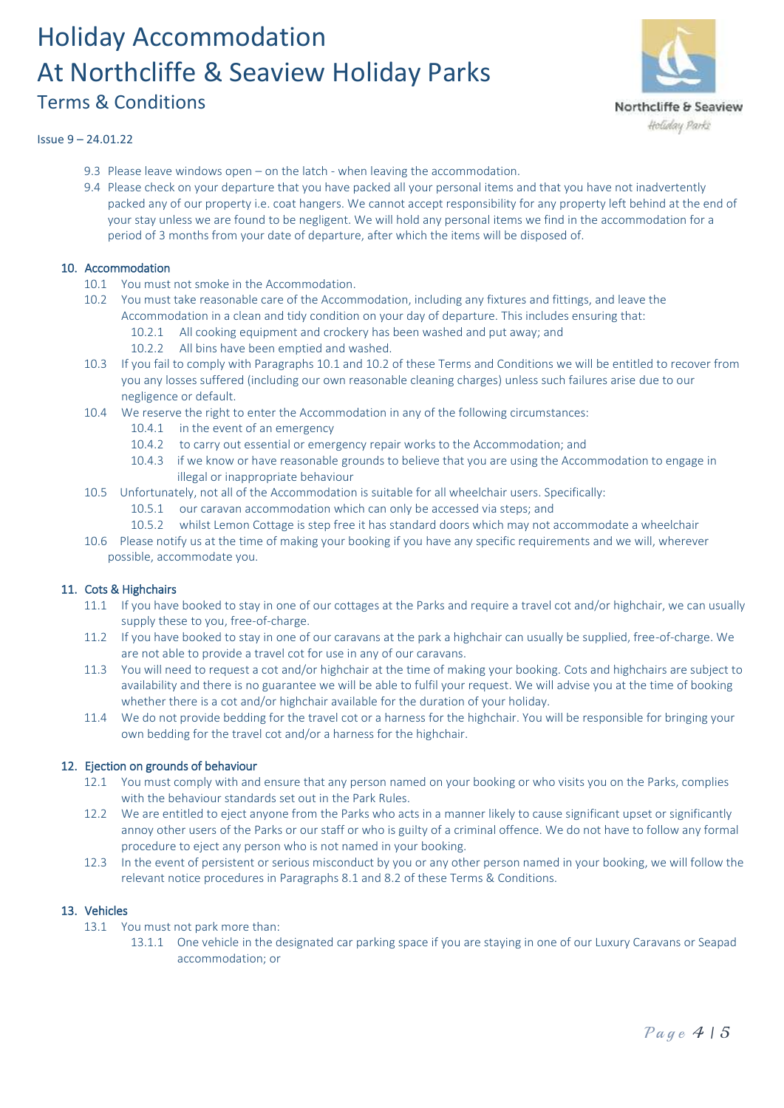

### Issue 9 – 24.01.22

- 9.3 Please leave windows open on the latch when leaving the accommodation.
- 9.4 Please check on your departure that you have packed all your personal items and that you have not inadvertently packed any of our property i.e. coat hangers. We cannot accept responsibility for any property left behind at the end of your stay unless we are found to be negligent. We will hold any personal items we find in the accommodation for a period of 3 months from your date of departure, after which the items will be disposed of.

### 10. Accommodation

- 10.1 You must not smoke in the Accommodation.
- 10.2 You must take reasonable care of the Accommodation, including any fixtures and fittings, and leave the Accommodation in a clean and tidy condition on your day of departure. This includes ensuring that:
	- 10.2.1 All cooking equipment and crockery has been washed and put away; and
	- 10.2.2 All bins have been emptied and washed.
- 10.3 If you fail to comply with Paragraphs 10.1 and 10.2 of these Terms and Conditions we will be entitled to recover from you any losses suffered (including our own reasonable cleaning charges) unless such failures arise due to our negligence or default.
- 10.4 We reserve the right to enter the Accommodation in any of the following circumstances:
	- 10.4.1 in the event of an emergency
	- 10.4.2 to carry out essential or emergency repair works to the Accommodation; and
	- 10.4.3 if we know or have reasonable grounds to believe that you are using the Accommodation to engage in illegal or inappropriate behaviour
- 10.5 Unfortunately, not all of the Accommodation is suitable for all wheelchair users. Specifically:
	- 10.5.1 our caravan accommodation which can only be accessed via steps; and
	- 10.5.2 whilst Lemon Cottage is step free it has standard doors which may not accommodate a wheelchair
- 10.6 Please notify us at the time of making your booking if you have any specific requirements and we will, wherever possible, accommodate you.

### 11. Cots & Highchairs

- 11.1 If you have booked to stay in one of our cottages at the Parks and require a travel cot and/or highchair, we can usually supply these to you, free-of-charge.
- 11.2 If you have booked to stay in one of our caravans at the park a highchair can usually be supplied, free-of-charge. We are not able to provide a travel cot for use in any of our caravans.
- 11.3 You will need to request a cot and/or highchair at the time of making your booking. Cots and highchairs are subject to availability and there is no guarantee we will be able to fulfil your request. We will advise you at the time of booking whether there is a cot and/or highchair available for the duration of your holiday.
- 11.4 We do not provide bedding for the travel cot or a harness for the highchair. You will be responsible for bringing your own bedding for the travel cot and/or a harness for the highchair.

### 12. Ejection on grounds of behaviour

- 12.1 You must comply with and ensure that any person named on your booking or who visits you on the Parks, complies with the behaviour standards set out in the Park Rules.
- 12.2 We are entitled to eject anyone from the Parks who acts in a manner likely to cause significant upset or significantly annoy other users of the Parks or our staff or who is guilty of a criminal offence. We do not have to follow any formal procedure to eject any person who is not named in your booking.
- 12.3 In the event of persistent or serious misconduct by you or any other person named in your booking, we will follow the relevant notice procedures in Paragraphs 8.1 and 8.2 of these Terms & Conditions.

### 13. Vehicles

- 13.1 You must not park more than:
	- 13.1.1 One vehicle in the designated car parking space if you are staying in one of our Luxury Caravans or Seapad accommodation; or